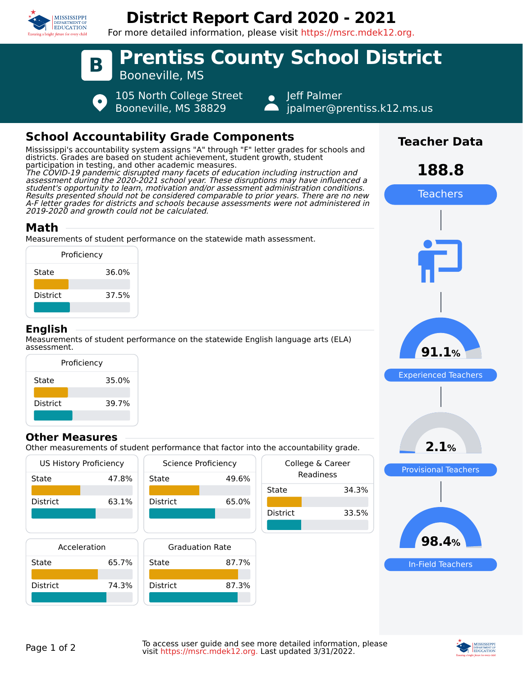

# **District Report Card 2020 - 2021**

For more detailed information, please visit https://msrc.mdek12.org.



# **School Accountability Grade Components**

Mississippi's accountability system assigns "A" through "F" letter grades for schools and districts. Grades are based on student achievement, student growth, student participation in testing, and other academic measures. The COVID-19 pandemic disrupted many facets of education including instruction and assessment during the 2020-2021 school year. These disruptions may have influenced a student's opportunity to learn, motivation and/or assessment administration conditions. Results presented should not be considered comparable to prior years. There are no new A-F letter grades for districts and schools because assessments were not administered in 2019-2020 and growth could not be calculated.

# **Math**

Measurements of student performance on the statewide math assessment.



# **English**

Measurements of student performance on the statewide English language arts (ELA) assessment.



### **Other Measures**

Other measurements of student performance that factor into the accountability grade.